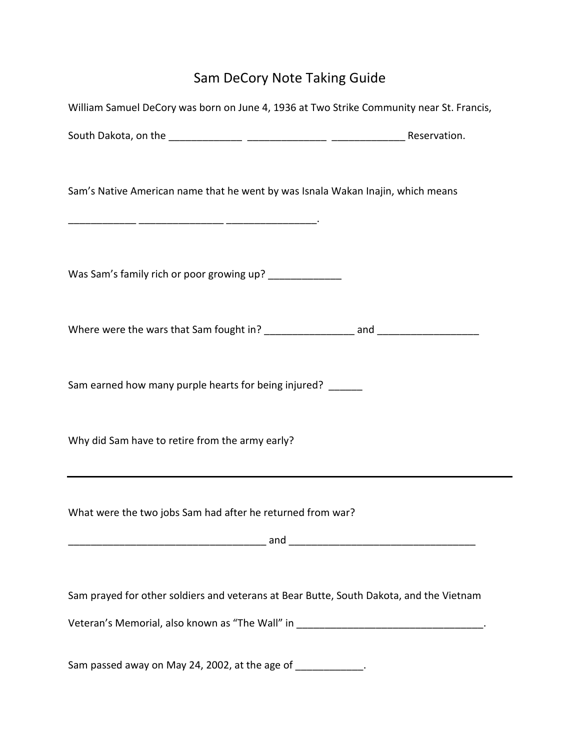## Sam DeCory Note Taking Guide

| William Samuel DeCory was born on June 4, 1936 at Two Strike Community near St. Francis,                                                                                      |  |
|-------------------------------------------------------------------------------------------------------------------------------------------------------------------------------|--|
|                                                                                                                                                                               |  |
| Sam's Native American name that he went by was Isnala Wakan Inajin, which means                                                                                               |  |
| Was Sam's family rich or poor growing up? _____________                                                                                                                       |  |
|                                                                                                                                                                               |  |
| Sam earned how many purple hearts for being injured? ______                                                                                                                   |  |
| Why did Sam have to retire from the army early?                                                                                                                               |  |
| What were the two jobs Sam had after he returned from war?                                                                                                                    |  |
| Sam prayed for other soldiers and veterans at Bear Butte, South Dakota, and the Vietnam<br>Veteran's Memorial, also known as "The Wall" in _________________________________. |  |
| Sam passed away on May 24, 2002, at the age of _____________.                                                                                                                 |  |